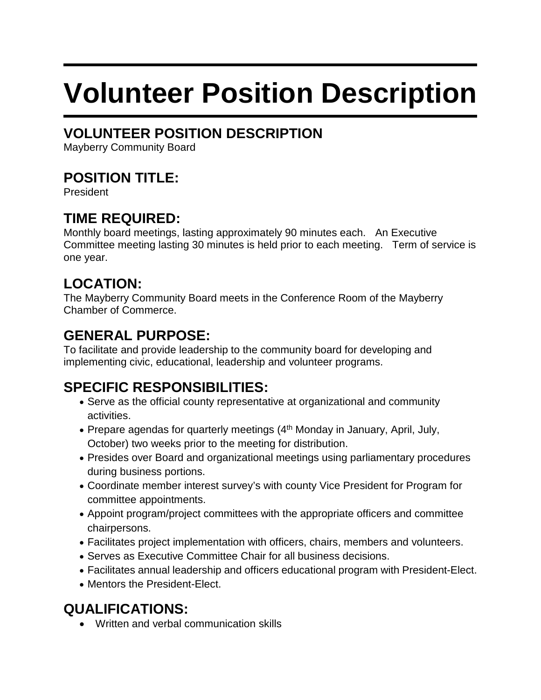# **Volunteer Position Description**

# **VOLUNTEER POSITION DESCRIPTION**

Mayberry Community Board

## **POSITION TITLE:**

President

### **TIME REQUIRED:**

Monthly board meetings, lasting approximately 90 minutes each. An Executive Committee meeting lasting 30 minutes is held prior to each meeting. Term of service is one year.

## **LOCATION:**

The Mayberry Community Board meets in the Conference Room of the Mayberry Chamber of Commerce.

### **GENERAL PURPOSE:**

To facilitate and provide leadership to the community board for developing and implementing civic, educational, leadership and volunteer programs.

# **SPECIFIC RESPONSIBILITIES:**

- Serve as the official county representative at organizational and community activities.
- Prepare agendas for quarterly meetings (4<sup>th</sup> Monday in January, April, July, October) two weeks prior to the meeting for distribution.
- Presides over Board and organizational meetings using parliamentary procedures during business portions.
- Coordinate member interest survey's with county Vice President for Program for committee appointments.
- Appoint program/project committees with the appropriate officers and committee chairpersons.
- Facilitates project implementation with officers, chairs, members and volunteers.
- Serves as Executive Committee Chair for all business decisions.
- Facilitates annual leadership and officers educational program with President-Elect.
- Mentors the President-Elect.

# **QUALIFICATIONS:**

• Written and verbal communication skills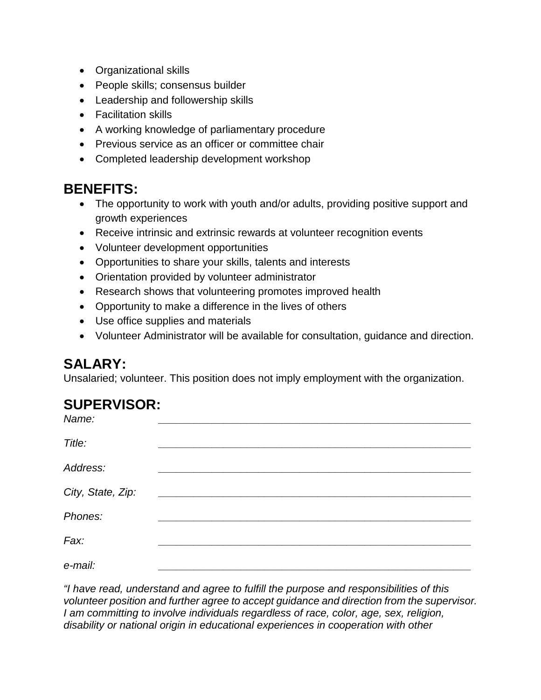- Organizational skills
- People skills; consensus builder
- Leadership and followership skills
- Facilitation skills
- A working knowledge of parliamentary procedure
- Previous service as an officer or committee chair
- Completed leadership development workshop

#### **BENEFITS:**

- The opportunity to work with youth and/or adults, providing positive support and growth experiences
- Receive intrinsic and extrinsic rewards at volunteer recognition events
- Volunteer development opportunities
- Opportunities to share your skills, talents and interests
- Orientation provided by volunteer administrator
- Research shows that volunteering promotes improved health
- Opportunity to make a difference in the lives of others
- Use office supplies and materials
- Volunteer Administrator will be available for consultation, guidance and direction.

#### **SALARY:**

Unsalaried; volunteer. This position does not imply employment with the organization.

# **SUPERVISOR:**

| Name:             |  |
|-------------------|--|
| Title:            |  |
| Address:          |  |
| City, State, Zip: |  |
| Phones:           |  |
| Fax:              |  |
| e-mail:           |  |

*"I have read, understand and agree to fulfill the purpose and responsibilities of this volunteer position and further agree to accept guidance and direction from the supervisor. I am committing to involve individuals regardless of race, color, age, sex, religion, disability or national origin in educational experiences in cooperation with other*